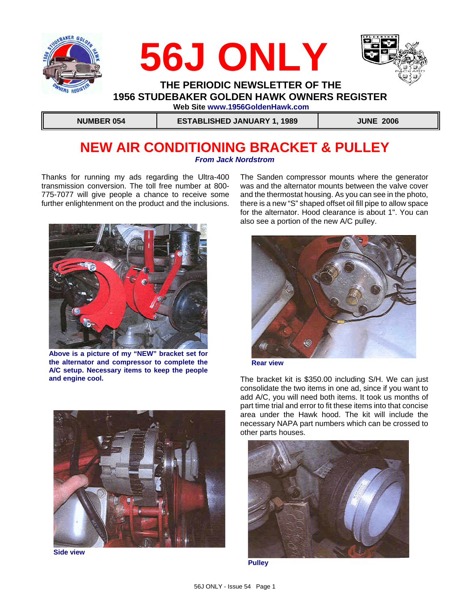





### **THE PERIODIC NEWSLETTER OF THE 1956 STUDEBAKER GOLDEN HAWK OWNERS REGISTER Web Site www.1956GoldenHawk.com**

 **NUMBER 054 ESTABLISHED JANUARY 1, 1989 JUNE 2006**

### **NEW AIR CONDITIONING BRACKET & PULLEY** *From Jack Nordstrom*

Thanks for running my ads regarding the Ultra-400 transmission conversion. The toll free number at 800- 775-7077 will give people a chance to receive some further enlightenment on the product and the inclusions.



**Above is a picture of my "NEW" bracket set for the alternator and compressor to complete the A/C setup. Necessary items to keep the people and engine cool.**

The Sanden compressor mounts where the generator was and the alternator mounts between the valve cover and the thermostat housing. As you can see in the photo, there is a new "S" shaped offset oil fill pipe to allow space for the alternator. Hood clearance is about 1". You can also see a portion of the new A/C pulley.



**Rear view**

The bracket kit is \$350.00 including S/H. We can just consolidate the two items in one ad, since if you want to add A/C, you will need both items. It took us months of part time trial and error to fit these items into that concise area under the Hawk hood. The kit will include the necessary NAPA part numbers which can be crossed to other parts houses.



**Side view**



**Pulley**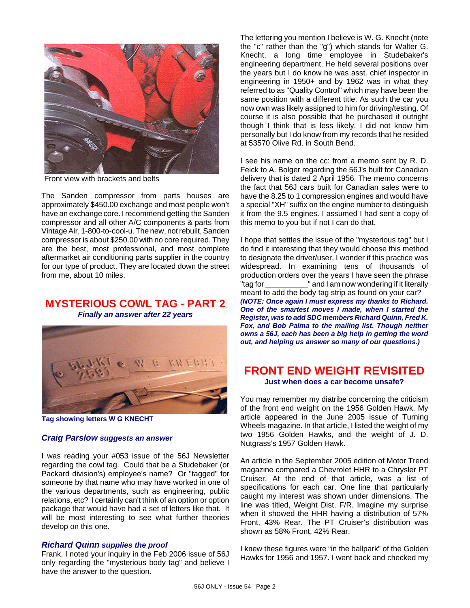

Front view with brackets and belts

The Sanden compressor from parts houses are approximately \$450.00 exchange and most people won't have an exchange core. I recommend getting the Sanden compressor and all other A/C components & parts from Vintage Air, 1-800-to-cool-u. The new, not rebuilt, Sanden compressor is about \$250.00 with no core required. They are the best, most professional, and most complete aftermarket air conditioning parts supplier in the country for our type of product. They are located down the street from me, about 10 miles.

# **MYSTERIOUS COWL TAG - PART 2**

*Finally an answer after 22 years*



**Tag showing letters W G KNECHT**

#### *Craig Parslow suggests an answer*

I was reading your #053 issue of the 56J Newsletter regarding the cowl tag. Could that be a Studebaker (or Packard division's) employee's name? Or "tagged" for someone by that name who may have worked in one of the various departments, such as engineering, public relations, etc? I certainly can't think of an option or option package that would have had a set of letters like that. It will be most interesting to see what further theories develop on this one.

#### *Richard Quinn supplies the proof*

Frank, I noted your inquiry in the Feb 2006 issue of 56J only regarding the "mysterious body tag" and believe I have the answer to the question.

The lettering you mention I believe is W. G. Knecht (note the "c" rather than the "g") which stands for Walter G. Knecht, a long time employee in Studebaker's engineering department. He held several positions over the years but I do know he was asst. chief inspector in engineering in 1950+ and by 1962 was in what they referred to as "Quality Control" which may have been the same position with a different title. As such the car you now own was likely assigned to him for driving/testing. Of course it is also possible that he purchased it outright though I think that is less likely. I did not know him personally but I do know from my records that he resided at 53570 Olive Rd. in South Bend.

I see his name on the cc: from a memo sent by R. D. Feick to A. Bolger regarding the 56J's built for Canadian delivery that is dated 2 April 1956. The memo concerns the fact that 56J cars built for Canadian sales were to have the 8.25 to 1 compression engines and would have a special "XH" suffix on the engine number to distinguish it from the 9.5 engines. I assumed I had sent a copy of this memo to you but if not I can do that.

I hope that settles the issue of the "mysterious tag" but I do find it interesting that they would choose this method to designate the driver/user. I wonder if this practice was widespread. In examining tens of thousands of production orders over the years I have seen the phrase "tag for \_\_\_\_\_\_\_\_\_\_" and I am now wondering if it literally meant to add the body tag strip as found on your car? *(NOTE: Once again I must express my thanks to Richard. One of the smartest moves I made, when I started the Register, was to add SDC members Richard Quinn, Fred K. Fox, and Bob Palma to the mailing list. Though neither owns a 56J, each has been a big help in getting the word out, and helping us answer so many of our questions.)*

### **FRONT END WEIGHT REVISITED Just when does a car become unsafe?**

You may remember my diatribe concerning the criticism of the front end weight on the 1956 Golden Hawk. My article appeared in the June 2005 issue of Turning Wheels magazine. In that article, I listed the weight of my two 1956 Golden Hawks, and the weight of J. D. Nutgrass's 1957 Golden Hawk.

An article in the September 2005 edition of Motor Trend magazine compared a Chevrolet HHR to a Chrysler PT Cruiser. At the end of that article, was a list of specifications for each car. One line that particularly caught my interest was shown under dimensions. The line was titled, Weight Dist, F/R. Imagine my surprise when it showed the HHR having a distribution of 57% Front, 43% Rear. The PT Cruiser's distribution was shown as 58% Front, 42% Rear.

I knew these figures were "in the ballpark" of the Golden Hawks for 1956 and 1957. I went back and checked my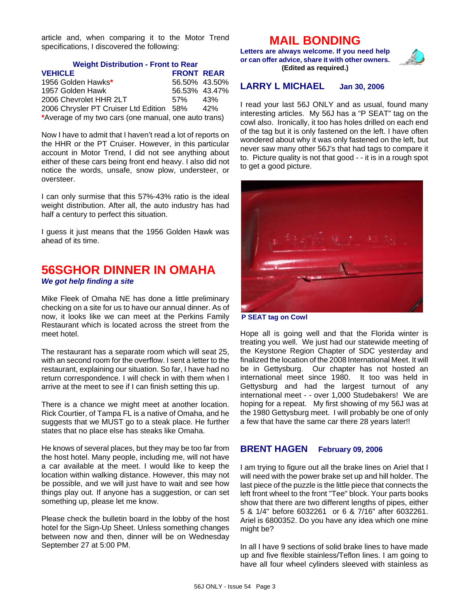article and, when comparing it to the Motor Trend specifications, I discovered the following:

#### **Weight Distribution - Front to Rear**

| <b>VEHICLE</b>                                       | <b>FRONT REAR</b> |     |
|------------------------------------------------------|-------------------|-----|
| 1956 Golden Hawks*                                   | 56.50% 43.50%     |     |
| 1957 Golden Hawk                                     | 56.53% 43.47%     |     |
| 2006 Chevrolet HHR 2LT                               | 57%               | 43% |
| 2006 Chrysler PT Cruiser Ltd Edition 58%             |                   | 42% |
| *Average of my two cars (one manual, one auto trans) |                   |     |

Now I have to admit that I haven't read a lot of reports on the HHR or the PT Cruiser. However, in this particular account in Motor Trend, I did not see anything about either of these cars being front end heavy. I also did not notice the words, unsafe, snow plow, understeer, or oversteer.

I can only surmise that this 57%-43% ratio is the ideal weight distribution. After all, the auto industry has had half a century to perfect this situation.

I guess it just means that the 1956 Golden Hawk was ahead of its time.

### **56SGHOR DINNER IN OMAHA** *We got help finding a site*

Mike Fleek of Omaha NE has done a little preliminary checking on a site for us to have our annual dinner. As of now, it looks like we can meet at the Perkins Family Restaurant which is located across the street from the meet hotel.

The restaurant has a separate room which will seat 25, with an second room for the overflow. I sent a letter to the restaurant, explaining our situation. So far, I have had no return correspondence. I will check in with them when I arrive at the meet to see if I can finish setting this up.

There is a chance we might meet at another location. Rick Courtier, of Tampa FL is a native of Omaha, and he suggests that we MUST go to a steak place. He further states that no place else has steaks like Omaha.

He knows of several places, but they may be too far from the host hotel. Many people, including me, will not have a car available at the meet. I would like to keep the location within walking distance. However, this may not be possible, and we will just have to wait and see how things play out. If anyone has a suggestion, or can set something up, please let me know.

Please check the bulletin board in the lobby of the host hotel for the Sign-Up Sheet. Unless something changes between now and then, dinner will be on Wednesday September 27 at 5:00 PM.

### **MAIL BONDING**

**Letters are always welcome. If you need help or can offer advice, share it with other owners. (Edited as required.)**



### **LARRY L MICHAEL Jan 30, 2006**

I read your last 56J ONLY and as usual, found many interesting articles. My 56J has a "P SEAT" tag on the cowl also. Ironically, it too has holes drilled on each end of the tag but it is only fastened on the left. I have often wondered about why it was only fastened on the left, but never saw many other 56J's that had tags to compare it to. Picture quality is not that good - - it is in a rough spot to get a good picture.



**P SEAT tag on Cowl**

Hope all is going well and that the Florida winter is treating you well. We just had our statewide meeting of the Keystone Region Chapter of SDC yesterday and finalized the location of the 2008 International Meet. It will be in Gettysburg. Our chapter has not hosted an international meet since 1980. It too was held in Gettysburg and had the largest turnout of any international meet - - over 1,000 Studebakers! We are hoping for a repeat. My first showing of my 56J was at the 1980 Gettysburg meet. I will probably be one of only a few that have the same car there 28 years later!!

#### **BRENT HAGEN February 09, 2006**

I am trying to figure out all the brake lines on Ariel that I will need with the power brake set up and hill holder. The last piece of the puzzle is the little piece that connects the left front wheel to the front "Tee" block. Your parts books show that there are two different lengths of pipes, either 5 & 1/4" before 6032261 or 6 & 7/16" after 6032261. Ariel is 6800352. Do you have any idea which one mine might be?

In all I have 9 sections of solid brake lines to have made up and five flexible stainless/Teflon lines. I am going to have all four wheel cylinders sleeved with stainless as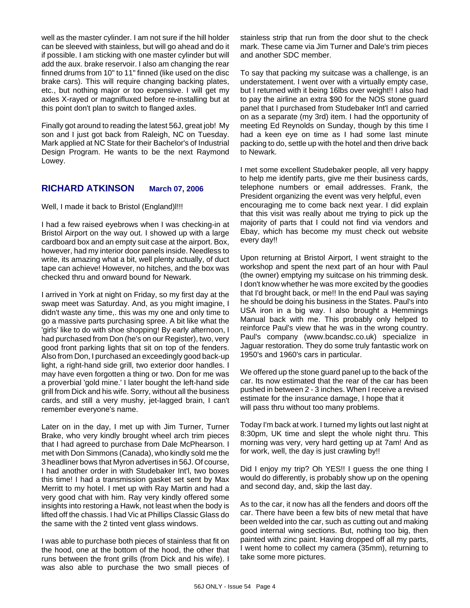well as the master cylinder. I am not sure if the hill holder can be sleeved with stainless, but will go ahead and do it if possible. I am sticking with one master cylinder but will add the aux. brake reservoir. I also am changing the rear finned drums from 10" to 11" finned (like used on the disc brake cars). This will require changing backing plates, etc., but nothing major or too expensive. I will get my axles X-rayed or magnifluxed before re-installing but at this point don't plan to switch to flanged axles.

Finally got around to reading the latest 56J, great job! My son and I just got back from Raleigh, NC on Tuesday. Mark applied at NC State for their Bachelor's of Industrial Design Program. He wants to be the next Raymond Lowey.

#### **RICHARD ATKINSON March 07, 2006**

Well, I made it back to Bristol (England)!!!!

I had a few raised eyebrows when I was checking-in at Bristol Airport on the way out. I showed up with a large cardboard box and an empty suit case at the airport. Box, however, had my interior door panels inside. Needless to write, its amazing what a bit, well plenty actually, of duct tape can achieve! However, no hitches, and the box was checked thru and onward bound for Newark.

I arrived in York at night on Friday, so my first day at the swap meet was Saturday. And, as you might imagine, I didn't waste any time,. this was my one and only time to go a massive parts purchasing spree. A bit like what the 'girls' like to do with shoe shopping! By early afternoon, I had purchased from Don (he's on our Register), two, very good front parking lights that sit on top of the fenders. Also from Don, I purchased an exceedingly good back-up light, a right-hand side grill, two exterior door handles. I may have even forgotten a thing or two. Don for me was a proverbial 'gold mine.' I later bought the left-hand side grill from Dick and his wife. Sorry, without all the business cards, and still a very mushy, jet-lagged brain, I can't remember everyone's name.

Later on in the day, I met up with Jim Turner, Turner Brake, who very kindly brought wheel arch trim pieces that I had agreed to purchase from Dale McPhearson. I met with Don Simmons (Canada), who kindly sold me the 3 headliner bows that Myron advertises in 56J. Of course, I had another order in with Studebaker Int'l, two boxes this time! I had a transmission gasket set sent by Max Merritt to my hotel. I met up with Ray Martin and had a very good chat with him. Ray very kindly offered some insights into restoring a Hawk, not least when the body is lifted off the chassis. I had Vic at Phillips Classic Glass do the same with the 2 tinted vent glass windows.

I was able to purchase both pieces of stainless that fit on the hood, one at the bottom of the hood, the other that runs between the front grills (from Dick and his wife). I was also able to purchase the two small pieces of stainless strip that run from the door shut to the check mark. These came via Jim Turner and Dale's trim pieces and another SDC member.

To say that packing my suitcase was a challenge, is an understatement. I went over with a virtually empty case, but I returned with it being 16lbs over weight!! I also had to pay the airline an extra \$90 for the NOS stone guard panel that I purchased from Studebaker Int'l and carried on as a separate (my 3rd) item. I had the opportunity of meeting Ed Reynolds on Sunday, though by this time I had a keen eye on time as I had some last minute packing to do, settle up with the hotel and then drive back to Newark.

I met some excellent Studebaker people, all very happy to help me identify parts, give me their business cards, telephone numbers or email addresses. Frank, the President organizing the event was very helpful, even encouraging me to come back next year. I did explain that this visit was really about me trying to pick up the majority of parts that I could not find via vendors and Ebay, which has become my must check out website every day!!

Upon returning at Bristol Airport, I went straight to the workshop and spent the next part of an hour with Paul (the owner) emptying my suitcase on his trimming desk. I don't know whether he was more excited by the goodies that I'd brought back, or me!! In the end Paul was saying he should be doing his business in the States. Paul's into USA iron in a big way. I also brought a Hemmings Manual back with me. This probably only helped to reinforce Paul's view that he was in the wrong country. Paul's company (www.bcandsc.co.uk) specialize in Jaguar restoration. They do some truly fantastic work on 1950's and 1960's cars in particular.

We offered up the stone guard panel up to the back of the car. Its now estimated that the rear of the car has been pushed in between 2 - 3 inches. When I receive a revised estimate for the insurance damage, I hope that it will pass thru without too many problems.

Today I'm back at work. I turned my lights out last night at 8:30pm, UK time and slept the whole night thru. This morning was very, very hard getting up at 7am! And as for work, well, the day is just crawling by!!

Did I enjoy my trip? Oh YES!! I guess the one thing I would do differently, is probably show up on the opening and second day, and, skip the last day.

As to the car, it now has all the fenders and doors off the car. There have been a few bits of new metal that have been welded into the car, such as cutting out and making good internal wing sections. But, nothing too big, then painted with zinc paint. Having dropped off all my parts, I went home to collect my camera (35mm), returning to take some more pictures.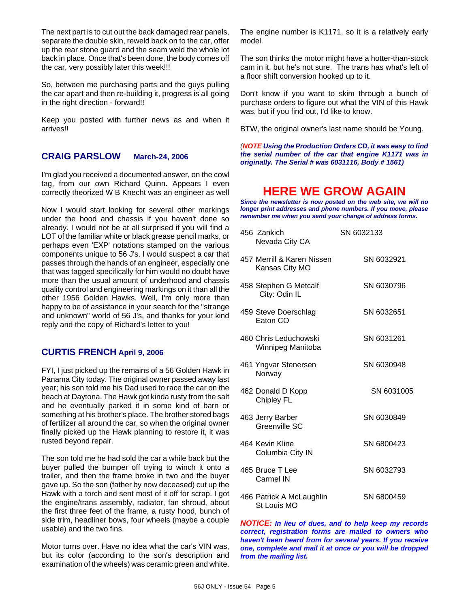The next part is to cut out the back damaged rear panels, separate the double skin, reweld back on to the car, offer up the rear stone guard and the seam weld the whole lot back in place. Once that's been done, the body comes off the car, very possibly later this week!!!

So, between me purchasing parts and the guys pulling the car apart and then re-building it, progress is all going in the right direction - forward!!

Keep you posted with further news as and when it arrives!!

#### **CRAIG PARSLOW March-24, 2006**

I'm glad you received a documented answer, on the cowl tag, from our own Richard Quinn. Appears I even correctly theorized W B Knecht was an engineer as well

Now I would start looking for several other markings under the hood and chassis if you haven't done so already. I would not be at all surprised if you will find a LOT of the familiar white or black grease pencil marks, or perhaps even 'EXP' notations stamped on the various components unique to 56 J's. I would suspect a car that passes through the hands of an engineer, especially one that was tagged specifically for him would no doubt have more than the usual amount of underhood and chassis quality control and engineering markings on it than all the other 1956 Golden Hawks. Well, I'm only more than happy to be of assistance in your search for the "strange and unknown" world of 56 J's, and thanks for your kind reply and the copy of Richard's letter to you!

#### **CURTIS FRENCH April 9, 2006**

FYI, I just picked up the remains of a 56 Golden Hawk in Panama City today. The original owner passed away last year; his son told me his Dad used to race the car on the beach at Daytona. The Hawk got kinda rusty from the salt and he eventually parked it in some kind of barn or something at his brother's place. The brother stored bags of fertilizer all around the car, so when the original owner finally picked up the Hawk planning to restore it, it was rusted beyond repair.

The son told me he had sold the car a while back but the buyer pulled the bumper off trying to winch it onto a trailer, and then the frame broke in two and the buyer gave up. So the son (father by now deceased) cut up the Hawk with a torch and sent most of it off for scrap. I got the engine/trans assembly, radiator, fan shroud, about the first three feet of the frame, a rusty hood, bunch of side trim, headliner bows, four wheels (maybe a couple usable) and the two fins.

Motor turns over. Have no idea what the car's VIN was, but its color (according to the son's description and examination of the wheels) was ceramic green and white.

The engine number is K1171, so it is a relatively early model.

The son thinks the motor might have a hotter-than-stock cam in it, but he's not sure. The trans has what's left of a floor shift conversion hooked up to it.

Don't know if you want to skim through a bunch of purchase orders to figure out what the VIN of this Hawk was, but if you find out, I'd like to know.

BTW, the original owner's last name should be Young.

*(NOTE Using the Production Orders CD, it was easy to find the serial number of the car that engine K1171 was in originally. The Serial # was 6031116, Body # 1561)*

### **HERE WE GROW AGAIN**

*Since the newsletter is now posted on the web site, we will no longer print addresses and phone numbers. If you move, please remember me when you send your change of address forms.*

| 456 Zankich<br>Nevada City CA                | SN 6032133 |
|----------------------------------------------|------------|
| 457 Merrill & Karen Nissen<br>Kansas City MO | SN 6032921 |
| 458 Stephen G Metcalf<br>City: Odin IL       | SN 6030796 |
| 459 Steve Doerschlag<br>Faton CO             | SN 6032651 |
| 460 Chris Leduchowski<br>Winnipeg Manitoba   | SN 6031261 |
| 461 Yngvar Stenersen<br>Norway               | SN 6030948 |
| 462 Donald D Kopp<br><b>Chipley FL</b>       | SN 6031005 |
| 463 Jerry Barber<br>Greenville SC            | SN 6030849 |
| 464 Kevin Kline<br>Columbia City IN          | SN 6800423 |
| 465 Bruce T Lee<br>Carmel IN                 | SN 6032793 |
| 466 Patrick A McLaughlin<br>St Louis MO      | SN 6800459 |

*NOTICE: In lieu of dues, and to help keep my records correct, registration forms are mailed to owners who haven't been heard from for several years. If you receive one, complete and mail it at once or you will be dropped from the mailing list.*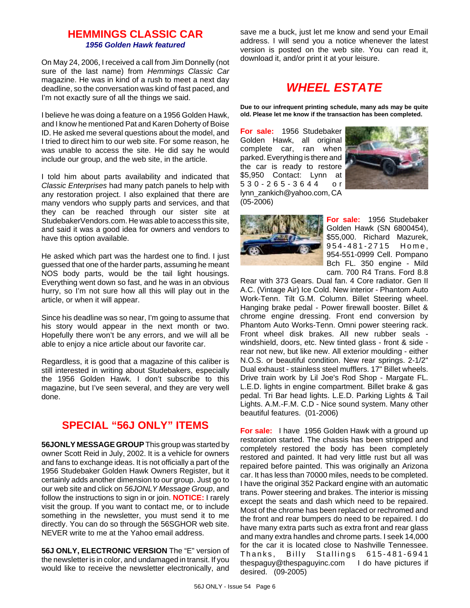### **HEMMINGS CLASSIC CAR** *1956 Golden Hawk featured*

On May 24, 2006, I received a call from Jim Donnelly (not sure of the last name) from *Hemmings Classic Car* magazine. He was in kind of a rush to meet a next day deadline, so the conversation was kind of fast paced, and I'm not exactly sure of all the things we said.

I believe he was doing a feature on a 1956 Golden Hawk, and I know he mentioned Pat and Karen Doherty of Boise ID. He asked me several questions about the model, and I tried to direct him to our web site. For some reason, he was unable to access the site. He did say he would include our group, and the web site, in the article.

I told him about parts availability and indicated that *Classic Enterprises* had many patch panels to help with any restoration project. I also explained that there are many vendors who supply parts and services, and that they can be reached through our sister site at StudebakerVendors.com. He was able to access this site, and said it was a good idea for owners and vendors to have this option available.

He asked which part was the hardest one to find. I just guessed that one of the harder parts, assuming he meant NOS body parts, would be the tail light housings. Everything went down so fast, and he was in an obvious hurry, so I'm not sure how all this will play out in the article, or when it will appear.

Since his deadline was so near, I'm going to assume that his story would appear in the next month or two. Hopefully there won't be any errors, and we will all be able to enjoy a nice article about our favorite car.

Regardless, it is good that a magazine of this caliber is still interested in writing about Studebakers, especially the 1956 Golden Hawk. I don't subscribe to this magazine, but I've seen several, and they are very well done.

### **SPECIAL "56J ONLY" ITEMS**

**56JONLY MESSAGE GROUP** This group was started by owner Scott Reid in July, 2002. It is a vehicle for owners and fans to exchange ideas. It is not officially a part of the 1956 Studebaker Golden Hawk Owners Register, but it certainly adds another dimension to our group. Just go to our web site and click on *56JONLY Message Group*, and follow the instructions to sign in or join. **NOTICE:** I rarely visit the group. If you want to contact me, or to include something in the newsletter, you must send it to me directly. You can do so through the 56SGHOR web site. NEVER write to me at the Yahoo email address.

**56J ONLY, ELECTRONIC VERSION** The "E" version of the newsletter is in color, and undamaged in transit. If you would like to receive the newsletter electronically, and save me a buck, just let me know and send your Email address. I will send you a notice whenever the latest version is posted on the web site. You can read it, download it, and/or print it at your leisure.

# *WHEEL ESTATE*

**Due to our infrequent printing schedule, many ads may be quite old. Please let me know if the transaction has been completed.**

**For sale:** 1956 Studebaker Golden Hawk, all original complete car, ran when parked. Everything is there and the car is ready to restore \$5,950 Contact: Lynn at 530-265-3644 or lynn\_zankich@yahoo.com, CA (05-2006)





**For sale:** 1956 Studebaker Golden Hawk (SN 6800454), \$55,000. Richard Mazurek, 954-481-2715 Home, 954-551-0999 Cell. Pompano Bch FL. 350 engine - Mild cam. 700 R4 Trans. Ford 8.8

Rear with 373 Gears. Dual fan. 4 Core radiator. Gen II A.C. (Vintage Air) Ice Cold. New interior - Phantom Auto Work-Tenn. Tilt G.M. Column. Billet Steering wheel. Hanging brake pedal - Power firewall booster. Billet & chrome engine dressing. Front end conversion by Phantom Auto Works-Tenn. Omni power steering rack. Front wheel disk brakes. All new rubber seals windshield, doors, etc. New tinted glass - front & side rear not new, but like new. All exterior moulding - either N.O.S. or beautiful condition. New rear springs. 2-1/2" Dual exhaust - stainless steel mufflers. 17" Billet wheels. Drive train work by Lil Joe's Rod Shop - Margate FL. L.E.D. lights in engine compartment. Billet brake & gas pedal. Tri Bar head lights. L.E.D. Parking Lights & Tail Lights. A.M.-F.M. C.D - Nice sound system. Many other beautiful features. (01-2006)

**For sale:** I have 1956 Golden Hawk with a ground up restoration started. The chassis has been stripped and completely restored the body has been completely restored and painted. It had very little rust but all was repaired before painted. This was originally an Arizona car. It has less than 70000 miles, needs to be completed. I have the original 352 Packard engine with an automatic trans. Power steering and brakes. The interior is missing except the seats and dash which need to be repaired. Most of the chrome has been replaced or rechromed and the front and rear bumpers do need to be repaired. I do have many extra parts such as extra front and rear glass and many extra handles and chrome parts. I seek 14,000 for the car it is located close to Nashville Tennessee. Thanks, Billy Stallings 615-481-6941 thespaguy@thespaguyinc.com I do have pictures if desired. (09-2005)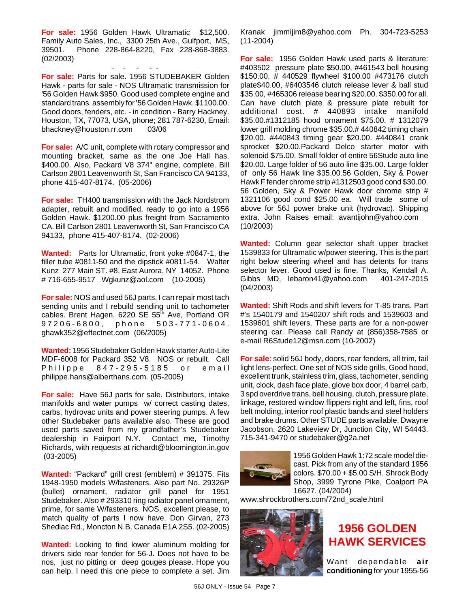**For sale:** 1956 Golden Hawk Ultramatic \$12,500. Family Auto Sales, Inc., 3300 25th Ave., Gulfport, MS, 39501. Phone 228-864-8220, Fax 228-868-3883. (02/2003)

- - - - - **For sale:** Parts for sale. 1956 STUDEBAKER Golden Hawk - parts for sale - NOS Ultramatic transmission for '56 Golden Hawk \$950. Good used complete engine and standard trans. assembly for '56 Golden Hawk. \$1100.00. Good doors, fenders, etc. - in condition - Barry Hackney. Houston, TX, 77073, USA, phone; 281 787-6230, Email: bhackney@houston.rr.com 03/06

**For sale:** A/C unit, complete with rotary compressor and mounting bracket, same as the one Joe Hall has. \$400.00. Also, Packard V8 374" engine, complete. Bill Carlson 2801 Leavenworth St, San Francisco CA 94133, phone 415-407-8174. (05-2006)

**For sale:** TH400 transmission with the Jack Nordstrom adapter, rebuilt and modified, ready to go into a 1956 Golden Hawk. \$1200.00 plus freight from Sacramento CA. Bill Carlson 2801 Leavenworth St, San Francisco CA 94133, phone 415-407-8174. (02-2006)

**Wanted:** Parts for Ultramatic, front yoke #0847-1, the filler tube #0811-50 and the dipstick #0811-54. Walter Kunz 277 Main ST. #8, East Aurora, NY 14052. Phone # 716-655-9517 Wgkunz@aol.com (10-2005)

**For sale:** NOS and used 56J parts. I can repair most tach sending units and I rebuild sending unit to tachometer cables. Brent Hagen, 6220 SE 55<sup>th</sup> Ave, Portland OR 97206-6800, phone 503 -771-0604. ghawk352@effectnet.com (06/2005)

**Wanted:** 1956 Studebaker Golden Hawk starter Auto-Lite MDF-6008 for Packard 352 V8. NOS or rebuilt. Call Philippe 847-295-5185 or email philippe.hans@alberthans.com. (05-2005)

**For sale:** Have 56J parts for sale. Distributors, intake manifolds and water pumps w/ correct casting dates, carbs, hydrovac units and power steering pumps. A few other Studebaker parts available also. These are good used parts saved from my grandfather's Studebaker dealership in Fairport N.Y. Contact me, Timothy Richards, with requests at richardt@bloomington.in.gov (03-2005)

**Wanted:** "Packard" grill crest (emblem) # 391375. Fits 1948-1950 models W/fasteners. Also part No. 29326P (bullet) ornament, radiator grill panel for 1951 Studebaker. Also # 293310 ring radiator panel ornament, prime, for same W/fasteners. NOS, excellent please, to match quality of parts I now have. Don Girvan, 273 Shediac Rd., Moncton N.B. Canada E1A 2S5. (02-2005)

**Wanted:** Looking to find lower aluminum molding for drivers side rear fender for 56-J. Does not have to be nos, just no pitting or deep gouges please. Hope you can help. I need this one piece to complete a set. Jim Kranak jimmijim8@yahoo.com Ph. 304-723-5253 (11-2004)

**For sale:** 1956 Golden Hawk used parts & literature: #403502 pressure plate \$50.00, #461543 bell housing \$150.00, # 440529 flywheel \$100.00 #473176 clutch plate\$40.00, #6403546 clutch release lever & ball stud \$35.00, #465306 release bearing \$20.00. \$350.00 for all. Can have clutch plate & pressure plate rebuilt for additional cost. # 440893 intake manifold \$35.00.#1312185 hood ornament \$75.00. # 1312079 lower grill molding chrome \$35.00.# 440842 timing chain \$20.00. #440843 timing gear \$20.00. #440841 crank sprocket \$20.00.Packard Delco starter motor with solenoid \$75.00. Small folder of entire 56Stude auto line \$20.00. Large folder of 56 auto line \$35.00. Large folder of only 56 Hawk line \$35.00.56 Golden, Sky & Power Hawk F fender chrome strip #1312503 good cond \$30.00. 56 Golden, Sky & Power Hawk door chrome strip # 1321106 good cond \$25.00 ea. Will trade some of above for 56J power brake unit (hydrovac). Shipping extra. John Raises email: avantijohn@yahoo.com (10/2003)

**Wanted:** Column gear selector shaft upper bracket 1539833 for Ultramatic w/power steering. This is the part right below steering wheel and has detents for trans selector lever. Good used is fine. Thanks, Kendall A. Gibbs MD, lebaron41@yahoo.com 401-247-2015 (04/2003)

**Wanted:** Shift Rods and shift levers for T-85 trans. Part #'s 1540179 and 1540207 shift rods and 1539603 and 1539601 shift levers. These parts are for a non-power steering car. Please call Randy at (856)358-7585 or e-mail R6Stude12@msn.com (10-2002)

**For sale**: solid 56J body, doors, rear fenders, all trim, tail light lens-perfect. One set of NOS side grills, Good hood, excellent trunk, stainless trim, glass, tachometer, sending unit, clock, dash face plate, glove box door, 4 barrel carb, 3 spd overdrive trans, bell housing, clutch, pressure plate, linkage, restored window flippers right and left, fins, roof belt molding, interior roof plastic bands and steel holders and brake drums. Other STUDE parts available. Dwayne Jacobson, 2620 Lakeview Dr, Junction City, WI 54443. 715-341-9470 or studebaker@g2a.net



1956 Golden Hawk 1:72 scale model diecast. Pick from any of the standard 1956 colors. \$70.00 + \$5.00 S/H. Shrock Body Shop, 3999 Tyrone Pike, Coalport PA 16627. (04/2004)

www.shrockbrothers.com/72nd\_scale.html



# **1956 GOLDEN HAWK SERVICES**

Want dependable **air conditioning** for your 1955-56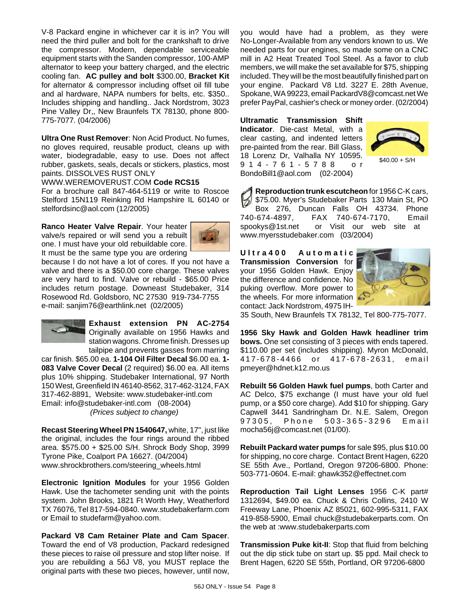V-8 Packard engine in whichever car it is in? You will need the third puller and bolt for the crankshaft to drive the compressor. Modern, dependable serviceable equipment starts with the Sanden compressor, 100-AMP alternator to keep your battery charged, and the electric cooling fan. **AC pulley and bolt** \$300.00, **Bracket Kit** for alternator & compressor including offset oil fill tube and al hardware, NAPA numbers for belts, etc. \$350.. Includes shipping and handling.. Jack Nordstrom, 3023 Pine Valley Dr,, New Braunfels TX 78130, phone 800- 775-7077. (04/2006)

**Ultra One Rust Remover**: Non Acid Product. No fumes, no gloves required, reusable product, cleans up with water, biodegradable, easy to use. Does not affect rubber, gaskets, seals, decals or stickers, plastics, most paints. DISSOLVES RUST ONLY

#### WWW.WEREMOVERUST.COM **Code RCS15**

For a brochure call 847-464-5119 or write to Roscoe Stelford 15N119 Reinking Rd Hampshire IL 60140 or stelfordsinc@aol.com (12/2005)

**Ranco Heater Valve Repair**. Your heater valve/s repaired or will send you a rebuilt one. I must have your old rebuildable core. It must be the same type you are ordering



because I do not have a lot of cores. If you not have a valve and there is a \$50.00 core charge. These valves are very hard to find. Valve or rebuild - \$65.00 Price includes return postage. Downeast Studebaker, 314 Rosewood Rd. Goldsboro, NC 27530 919-734-7755 e-mail: sanjim76@earthlink.net (02/2005)



**Exhaust extension PN AC-2754** Originally available on 1956 Hawks and station wagons. Chrome finish. Dresses up tailpipe and prevents gasses from marring

car finish. \$65.00 ea. **1-104 Oil Filter Decal** \$6.00 ea. **1- 083 Valve Cover Decal** (2 required) \$6.00 ea. All items plus 10% shipping. Studebaker International, 97 North 150 West, Greenfield IN 46140-8562, 317-462-3124, FAX 317-462-8891, Website: www.studebaker-intl.com Email: info@studebaker-intl.com (08-2004) *(Prices subject to change)*

**Recast Steering Wheel PN 1540647,** white, 17", just like the original, includes the four rings around the ribbed area. \$575.00 + \$25.00 S/H. Shrock Body Shop, 3999 Tyrone Pike, Coalport PA 16627. (04/2004) www.shrockbrothers.com/steering\_wheels.html

**Electronic Ignition Modules** for your 1956 Golden Hawk. Use the tachometer sending unit with the points system. John Brooks, 1821 Ft Worth Hwy, Weatherford TX 76076, Tel 817-594-0840. www.studebakerfarm.com or Email to studefarm@yahoo.com.

**Packard V8 Cam Retainer Plate and Cam Spacer**. Toward the end of V8 production, Packard redesigned these pieces to raise oil pressure and stop lifter noise. If you are rebuilding a 56J V8, you MUST replace the original parts with these two pieces, however, until now, you would have had a problem, as they were No-Longer-Available from any vendors known to us. We needed parts for our engines, so made some on a CNC mill in A2 Heat Treated Tool Steel. As a favor to club members, we will make the set available for \$75, shipping included. They will be the most beautifully finished part on your engine. Packard V8 Ltd. 3227 E. 28th Avenue, Spokane, WA 99223, email PackardV8@comcast.net We prefer PayPal, cashier's check or money order. (02/2004)

**Ultramatic Transmission Shift Indicator**. Die-cast Metal, with a clear casting, and indented letters pre-painted from the rear. Bill Glass, 18 Lorenz Dr, Valhalla NY 10595. 914-761-5788 or BondoBill1@aol.com (02-2004)



 $$40.00 + S/H$ 

**Reproduction trunk escutcheon** for 1956 C-K cars, \$75.00. Myer's Studebaker Parts 130 Main St, PO Box 276, Duncan Falls OH 43734. Phone 740-674-4897, FAX 740-674-7170, Email spookys@1st.net or Visit our web site at www.myersstudebaker.com (03/2004)

**Ultra400 Automatic Transmission Conversion** for your 1956 Golden Hawk. Enjoy the difference and confidence. No puking overflow. More power to the wheels. For more information contact: Jack Nordstrom, 4975 IH-



35 South, New Braunfels TX 78132, Tel 800-775-7077.

**1956 Sky Hawk and Golden Hawk headliner trim bows.** One set consisting of 3 pieces with ends tapered. \$110.00 per set (includes shipping). Myron McDonald, 417-678-4466 or 417-678-2631, email pmeyer@hdnet.k12.mo.us

**Rebuilt 56 Golden Hawk fuel pumps**, both Carter and AC Delco, \$75 exchange (I must have your old fuel pump, or a \$50 core charge). Add \$10 for shipping. Gary Capwell 3441 Sandringham Dr. N.E. Salem, Oregon 97305, Phone 503-365-3296 Email mocha56j@comcast.net (01/00).

**Rebuilt Packard water pumps** for sale \$95, plus \$10.00 for shipping, no core charge. Contact Brent Hagen, 6220 SE 55th Ave., Portland, Oregon 97206-6800. Phone: 503-771-0604. E-mail: ghawk352@effectnet.com

**Reproduction Tail Light Lenses** 1956 C-K part# 1312694, \$49.00 ea. Chuck & Chris Collins, 2410 W Freeway Lane, Phoenix AZ 85021, 602-995-5311, FAX 419-858-5900, Email chuck@studebakerparts.com. On the web at :www.studebakerparts.com

**Transmission Puke kit-II**: Stop that fluid from belching out the dip stick tube on start up. \$5 ppd. Mail check to Brent Hagen, 6220 SE 55th, Portland, OR 97206-6800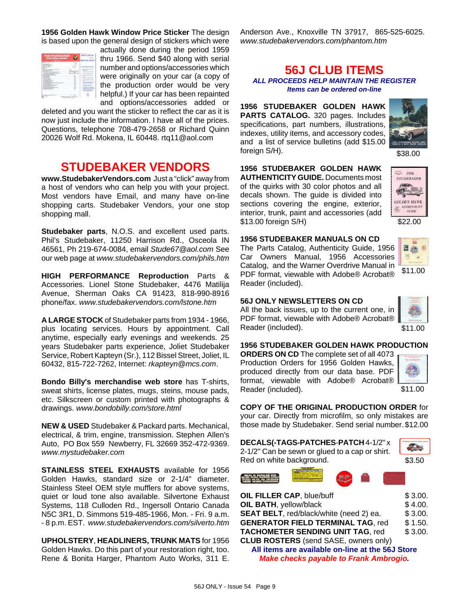**1956 Golden Hawk Window Price Sticker** The design is based upon the general design of stickers which were



actually done during the period 1959 thru 1966. Send \$40 along with serial number and options/accessories which were originally on your car (a copy of the production order would be very helpful.) If your car has been repainted and options/accessories added or

deleted and you want the sticker to reflect the car as it is now just include the information. I have all of the prices. Questions, telephone 708-479-2658 or Richard Quinn 20026 Wolf Rd. Mokena, IL 60448. rtq11@aol.com

## **STUDEBAKER VENDORS**

**www.StudebakerVendors.com** Just a "click" away from a host of vendors who can help you with your project. Most vendors have Email, and many have on-line shopping carts. Studebaker Vendors, your one stop shopping mall.

**Studebaker parts**, N.O.S. and excellent used parts. Phil's Studebaker, 11250 Harrison Rd., Osceola IN 46561, Ph 219-674-0084, email *Stude67@aol.com* See our web page at *www.studebakervendors.com/phils.htm*

**HIGH PERFORMANCE Reproduction** Parts & Accessories. Lionel Stone Studebaker, 4476 Matilija Avenue, Sherman Oaks CA 91423, 818-990-8916 phone/fax. *www.studebakervendors.com/lstone.htm*

**A LARGE STOCK** of Studebaker parts from 1934 - 1966, plus locating services. Hours by appointment. Call anytime, especially early evenings and weekends. 25 years Studebaker parts experience, Joliet Studebaker Service, Robert Kapteyn (Sr.), 112 Bissel Street, Joliet, IL 60432, 815-722-7262, Internet: *rkapteyn@mcs.com*.

**Bondo Billy's merchandise web store** has T-shirts, sweat shirts, license plates, mugs, steins, mouse pads, etc. Silkscreen or custom printed with photographs & drawings. *www.bondobilly.com/store.html*

**NEW & USED** Studebaker & Packard parts. Mechanical, electrical, & trim, engine, transmission. Stephen Allen's Auto, PO Box 559 Newberry, FL 32669 352-472-9369. *www.mystudebaker.com*

**STAINLESS STEEL EXHAUSTS** available for 1956 Golden Hawks, standard size or 2-1/4" diameter. Stainless Steel OEM style mufflers for above systems, quiet or loud tone also available. Silvertone Exhaust Systems, 118 Culloden Rd., Ingersoll Ontario Canada N5C 3R1, D. Simmons 519-485-1966, Mon. - Fri. 9 a.m. - 8 p.m. EST. *www.studebakervendors.com/silverto.htm*

**UPHOLSTERY**, **HEADLINERS, TRUNK MATS** for 1956 Golden Hawks. Do this part of your restoration right, too. Rene & Bonita Harger, Phantom Auto Works, 311 E.

Anderson Ave., Knoxville TN 37917, 865-525-6025. *www.studebakervendors.com/phantom.htm*

#### **56J CLUB ITEMS** *ALL PROCEEDS HELP MAINTAIN THE REGISTER Items can be ordered on-line*

**1956 STUDEBAKER GOLDEN HAWK PARTS CATALOG.** 320 pages. Includes specifications, part numbers, illustrations, indexes, utility items, and accessory codes, and a list of service bulletins (add \$15.00 foreign S/H).



\$38.00

 $-1956$ **STUDEBAKER**  $E$ **GOLDEN HAWK**  $\sum_{GUBE}$ 

**1956 STUDEBAKER GOLDEN HAWK AUTHENTICITY GUIDE.** Documents most of the quirks with 30 color photos and all decals shown. The guide is divided into sections covering the engine, exterior, interior, trunk, paint and accessories (add \$13.00 foreign S/H)

**1956 STUDEBAKER MANUALS ON CD**



\$11.00

#### **56J ONLY NEWSLETTERS ON CD**

Reader (included).

All the back issues, up to the current one, in PDF format, viewable with Adobe® Acrobat® Reader (included).

PDF format, viewable with Adobe® Acrobat®



\$11.00

**1956 STUDEBAKER GOLDEN HAWK PRODUCTION**

**ORDERS ON CD** The complete set of all 4073 Production Orders for 1956 Golden Hawks, produced directly from our data base. PDF format, viewable with Adobe<sup>®</sup> Acrobat<sup>®</sup> Reader (included).



\$11.00

**COPY OF THE ORIGINAL PRODUCTION ORDER** for your car. Directly from microfilm, so only mistakes are those made by Studebaker. Send serial number. \$12.00

| DECALS(-TAGS-PATCHES-PATCH 4-1/2" x            |  |
|------------------------------------------------|--|
| 2-1/2" Can be sewn or glued to a cap or shirt. |  |
| Red on white background.                       |  |



\$3.50



| OIL FILLER CAP, blue/buff                    | \$3.00. |
|----------------------------------------------|---------|
| OIL BATH, yellow/black                       | \$4.00. |
| SEAT BELT, red/black/white (need 2) ea.      | \$3.00. |
| <b>GENERATOR FIELD TERMINAL TAG. red</b>     | \$1.50. |
| <b>TACHOMETER SENDING UNIT TAG, red</b>      | \$3.00. |
| <b>CLUB ROSTERS</b> (send SASE, owners only) |         |
|                                              |         |

**All items are available on-line at the 56J Store** *Make checks payable to Frank Ambrogio.*